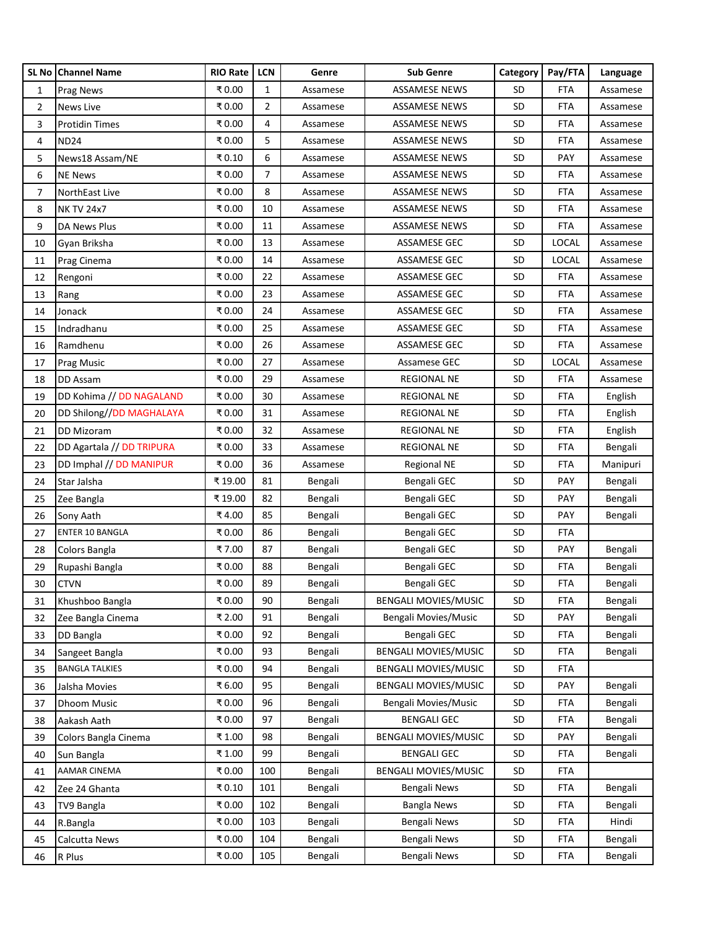|    | SL No Channel Name        | RIO Rate | <b>LCN</b>     | Genre    | <b>Sub Genre</b>            | Category  | Pay/FTA      | Language |
|----|---------------------------|----------|----------------|----------|-----------------------------|-----------|--------------|----------|
| 1  | <b>Prag News</b>          | ₹0.00    | $\mathbf{1}$   | Assamese | <b>ASSAMESE NEWS</b>        | SD        | <b>FTA</b>   | Assamese |
| 2  | News Live                 | ₹0.00    | $\overline{2}$ | Assamese | <b>ASSAMESE NEWS</b>        | SD        | FTA          | Assamese |
| 3  | <b>Protidin Times</b>     | ₹0.00    | 4              | Assamese | <b>ASSAMESE NEWS</b>        | <b>SD</b> | FTA          | Assamese |
| 4  | <b>ND24</b>               | ₹0.00    | 5              | Assamese | <b>ASSAMESE NEWS</b>        | SD        | <b>FTA</b>   | Assamese |
| 5  | News18 Assam/NE           | ₹0.10    | 6              | Assamese | ASSAMESE NEWS               | <b>SD</b> | <b>PAY</b>   | Assamese |
| 6  | <b>NE News</b>            | ₹0.00    | $\overline{7}$ | Assamese | ASSAMESE NEWS               | SD        | <b>FTA</b>   | Assamese |
| 7  | NorthEast Live            | ₹0.00    | 8              | Assamese | ASSAMESE NEWS               | <b>SD</b> | FTA          | Assamese |
| 8  | <b>NK TV 24x7</b>         | ₹0.00    | 10             | Assamese | <b>ASSAMESE NEWS</b>        | SD        | <b>FTA</b>   | Assamese |
| 9  | DA News Plus              | ₹0.00    | 11             | Assamese | ASSAMESE NEWS               | SD        | FTA          | Assamese |
| 10 | Gyan Briksha              | ₹0.00    | 13             | Assamese | ASSAMESE GEC                | <b>SD</b> | <b>LOCAL</b> | Assamese |
| 11 | Prag Cinema               | ₹0.00    | 14             | Assamese | ASSAMESE GEC                | SD        | <b>LOCAL</b> | Assamese |
| 12 | Rengoni                   | ₹0.00    | 22             | Assamese | ASSAMESE GEC                | SD        | <b>FTA</b>   | Assamese |
| 13 | Rang                      | ₹0.00    | 23             | Assamese | <b>ASSAMESE GEC</b>         | SD        | <b>FTA</b>   | Assamese |
| 14 | Jonack                    | ₹0.00    | 24             | Assamese | ASSAMESE GEC                | <b>SD</b> | <b>FTA</b>   | Assamese |
| 15 | Indradhanu                | ₹0.00    | 25             | Assamese | ASSAMESE GEC                | <b>SD</b> | <b>FTA</b>   | Assamese |
| 16 | Ramdhenu                  | ₹0.00    | 26             | Assamese | ASSAMESE GEC                | SD        | <b>FTA</b>   | Assamese |
| 17 | Prag Music                | ₹0.00    | 27             | Assamese | Assamese GEC                | <b>SD</b> | LOCAL        | Assamese |
| 18 | DD Assam                  | ₹0.00    | 29             | Assamese | <b>REGIONAL NE</b>          | SD        | <b>FTA</b>   | Assamese |
| 19 | DD Kohima // DD NAGALAND  | ₹0.00    | 30             | Assamese | REGIONAL NE                 | SD        | <b>FTA</b>   | English  |
| 20 | DD Shilong//DD MAGHALAYA  | ₹0.00    | 31             | Assamese | <b>REGIONAL NE</b>          | SD        | <b>FTA</b>   | English  |
| 21 | DD Mizoram                | ₹0.00    | 32             | Assamese | <b>REGIONAL NE</b>          | SD        | FTA          | English  |
| 22 | DD Agartala // DD TRIPURA | ₹0.00    | 33             | Assamese | <b>REGIONAL NE</b>          | SD        | FTA          | Bengali  |
| 23 | DD Imphal // DD MANIPUR   | ₹0.00    | 36             | Assamese | <b>Regional NE</b>          | SD        | <b>FTA</b>   | Manipuri |
| 24 | Star Jalsha               | ₹19.00   | 81             | Bengali  | Bengali GEC                 | <b>SD</b> | PAY          | Bengali  |
| 25 | Zee Bangla                | ₹19.00   | 82             | Bengali  | Bengali GEC                 | SD        | <b>PAY</b>   | Bengali  |
| 26 | Sony Aath                 | ₹4.00    | 85             | Bengali  | Bengali GEC                 | <b>SD</b> | PAY          | Bengali  |
| 27 | <b>ENTER 10 BANGLA</b>    | ₹0.00    | 86             | Bengali  | Bengali GEC                 | SD        | <b>FTA</b>   |          |
| 28 | Colors Bangla             | ₹7.00    | 87             | Bengali  | Bengali GEC                 | <b>SD</b> | <b>PAY</b>   | Bengali  |
| 29 | Rupashi Bangla            | ₹0.00    | 88             | Bengali  | Bengali GEC                 | <b>SD</b> | FTA          | Bengali  |
| 30 | <b>CTVN</b>               | ₹0.00    | 89             | Bengali  | Bengali GEC                 | <b>SD</b> | <b>FTA</b>   | Bengali  |
| 31 | Khushboo Bangla           | ₹0.00    | 90             | Bengali  | <b>BENGALI MOVIES/MUSIC</b> | <b>SD</b> | <b>FTA</b>   | Bengali  |
| 32 | Zee Bangla Cinema         | ₹ 2.00   | 91             | Bengali  | Bengali Movies/Music        | <b>SD</b> | PAY          | Bengali  |
| 33 | DD Bangla                 | ₹0.00    | 92             | Bengali  | Bengali GEC                 | <b>SD</b> | FTA          | Bengali  |
| 34 | Sangeet Bangla            | ₹0.00    | 93             | Bengali  | BENGALI MOVIES/MUSIC        | SD        | <b>FTA</b>   | Bengali  |
| 35 | <b>BANGLA TALKIES</b>     | ₹0.00    | 94             | Bengali  | <b>BENGALI MOVIES/MUSIC</b> | <b>SD</b> | <b>FTA</b>   |          |
| 36 | Jalsha Movies             | ₹6.00    | 95             | Bengali  | BENGALI MOVIES/MUSIC        | <b>SD</b> | <b>PAY</b>   | Bengali  |
| 37 | Dhoom Music               | ₹0.00    | 96             | Bengali  | Bengali Movies/Music        | <b>SD</b> | <b>FTA</b>   | Bengali  |
| 38 | Aakash Aath               | ₹0.00    | 97             | Bengali  | <b>BENGALI GEC</b>          | <b>SD</b> | <b>FTA</b>   | Bengali  |
| 39 | Colors Bangla Cinema      | ₹1.00    | 98             | Bengali  | BENGALI MOVIES/MUSIC        | <b>SD</b> | PAY          | Bengali  |
| 40 | Sun Bangla                | ₹1.00    | 99             | Bengali  | <b>BENGALI GEC</b>          | <b>SD</b> | <b>FTA</b>   | Bengali  |
| 41 | <b>AAMAR CINEMA</b>       | ₹0.00    | 100            | Bengali  | BENGALI MOVIES/MUSIC        | <b>SD</b> | <b>FTA</b>   |          |
| 42 | Zee 24 Ghanta             | ₹0.10    | 101            | Bengali  | Bengali News                | <b>SD</b> | <b>FTA</b>   | Bengali  |
| 43 | TV9 Bangla                | ₹0.00    | 102            | Bengali  | <b>Bangla News</b>          | <b>SD</b> | FTA          | Bengali  |
| 44 | R.Bangla                  | ₹0.00    | 103            | Bengali  | Bengali News                | SD        | <b>FTA</b>   | Hindi    |
| 45 | Calcutta News             | ₹0.00    | 104            | Bengali  | Bengali News                | SD        | FTA          | Bengali  |
| 46 | R Plus                    | ₹0.00    | 105            | Bengali  | <b>Bengali News</b>         | SD        | <b>FTA</b>   | Bengali  |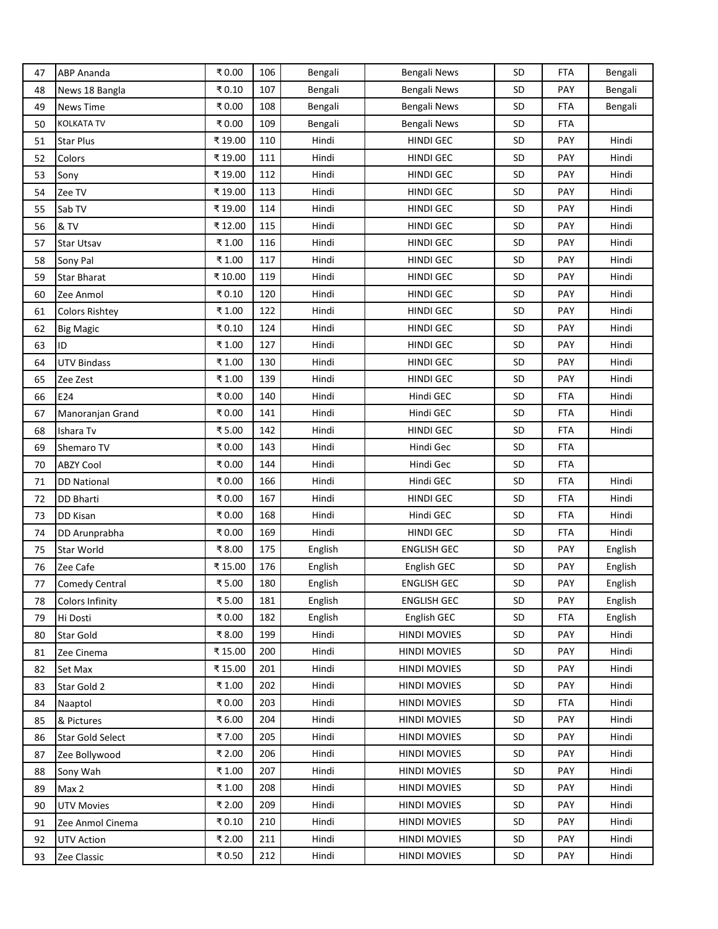| 47 | <b>ABP Ananda</b>       | ₹0.00  | 106 | Bengali | Bengali News        | SD        | <b>FTA</b> | Bengali |
|----|-------------------------|--------|-----|---------|---------------------|-----------|------------|---------|
| 48 | News 18 Bangla          | ₹0.10  | 107 | Bengali | Bengali News        | SD        | PAY        | Bengali |
| 49 | <b>News Time</b>        | ₹0.00  | 108 | Bengali | Bengali News        | SD        | <b>FTA</b> | Bengali |
| 50 | <b>KOLKATA TV</b>       | ₹0.00  | 109 | Bengali | Bengali News        | SD        | <b>FTA</b> |         |
| 51 | <b>Star Plus</b>        | ₹19.00 | 110 | Hindi   | HINDI GEC           | SD        | PAY        | Hindi   |
| 52 | Colors                  | ₹19.00 | 111 | Hindi   | <b>HINDI GEC</b>    | SD        | <b>PAY</b> | Hindi   |
| 53 | Sony                    | ₹19.00 | 112 | Hindi   | HINDI GEC           | SD        | <b>PAY</b> | Hindi   |
| 54 | Zee TV                  | ₹19.00 | 113 | Hindi   | <b>HINDI GEC</b>    | SD        | <b>PAY</b> | Hindi   |
| 55 | Sab TV                  | ₹19.00 | 114 | Hindi   | <b>HINDI GEC</b>    | SD        | <b>PAY</b> | Hindi   |
| 56 | & TV                    | ₹12.00 | 115 | Hindi   | HINDI GEC           | <b>SD</b> | <b>PAY</b> | Hindi   |
| 57 | <b>Star Utsav</b>       | ₹1.00  | 116 | Hindi   | <b>HINDI GEC</b>    | SD        | PAY        | Hindi   |
| 58 | Sony Pal                | ₹1.00  | 117 | Hindi   | <b>HINDI GEC</b>    | SD        | <b>PAY</b> | Hindi   |
| 59 | <b>Star Bharat</b>      | ₹10.00 | 119 | Hindi   | <b>HINDI GEC</b>    | SD        | <b>PAY</b> | Hindi   |
| 60 | Zee Anmol               | ₹0.10  | 120 | Hindi   | <b>HINDI GEC</b>    | SD        | <b>PAY</b> | Hindi   |
| 61 | <b>Colors Rishtey</b>   | ₹1.00  | 122 | Hindi   | <b>HINDI GEC</b>    | <b>SD</b> | <b>PAY</b> | Hindi   |
| 62 | <b>Big Magic</b>        | ₹0.10  | 124 | Hindi   | HINDI GEC           | SD        | <b>PAY</b> | Hindi   |
| 63 | ID                      | ₹1.00  | 127 | Hindi   | HINDI GEC           | <b>SD</b> | PAY        | Hindi   |
| 64 | <b>UTV Bindass</b>      | ₹1.00  | 130 | Hindi   | <b>HINDI GEC</b>    | SD        | <b>PAY</b> | Hindi   |
| 65 | Zee Zest                | ₹1.00  | 139 | Hindi   | <b>HINDI GEC</b>    | SD        | <b>PAY</b> | Hindi   |
| 66 | E24                     | ₹0.00  | 140 | Hindi   | Hindi GEC           | SD        | <b>FTA</b> | Hindi   |
| 67 | Manoranjan Grand        | ₹0.00  | 141 | Hindi   | Hindi GEC           | SD        | <b>FTA</b> | Hindi   |
| 68 | Ishara Tv               | ₹5.00  | 142 | Hindi   | <b>HINDI GEC</b>    | SD        | <b>FTA</b> | Hindi   |
| 69 | Shemaro TV              | ₹0.00  | 143 | Hindi   | Hindi Gec           | SD        | <b>FTA</b> |         |
| 70 | <b>ABZY Cool</b>        | ₹0.00  | 144 | Hindi   | Hindi Gec           | <b>SD</b> | <b>FTA</b> |         |
| 71 | <b>DD National</b>      | ₹0.00  | 166 | Hindi   | Hindi GEC           | SD        | <b>FTA</b> | Hindi   |
| 72 | <b>DD Bharti</b>        | ₹0.00  | 167 | Hindi   | HINDI GEC           | SD        | <b>FTA</b> | Hindi   |
| 73 | DD Kisan                | ₹0.00  | 168 | Hindi   | Hindi GEC           | SD        | <b>FTA</b> | Hindi   |
| 74 | DD Arunprabha           | ₹0.00  | 169 | Hindi   | <b>HINDI GEC</b>    | SD        | <b>FTA</b> | Hindi   |
| 75 | Star World              | ₹8.00  | 175 | English | <b>ENGLISH GEC</b>  | <b>SD</b> | <b>PAY</b> | English |
| 76 | Zee Cafe                | ₹15.00 | 176 | English | English GEC         | SD        | PAY        | English |
| 77 | Comedy Central          | ₹5.00  | 180 | English | <b>ENGLISH GEC</b>  | SD        | PAY        | English |
| 78 | <b>Colors Infinity</b>  | ₹5.00  | 181 | English | <b>ENGLISH GEC</b>  | SD        | <b>PAY</b> | English |
| 79 | Hi Dosti                | ₹0.00  | 182 | English | English GEC         | SD        | <b>FTA</b> | English |
| 80 | Star Gold               | ₹8.00  | 199 | Hindi   | <b>HINDI MOVIES</b> | SD        | <b>PAY</b> | Hindi   |
| 81 | Zee Cinema              | ₹15.00 | 200 | Hindi   | <b>HINDI MOVIES</b> | <b>SD</b> | <b>PAY</b> | Hindi   |
| 82 | Set Max                 | ₹15.00 | 201 | Hindi   | <b>HINDI MOVIES</b> | <b>SD</b> | <b>PAY</b> | Hindi   |
| 83 | Star Gold 2             | ₹1.00  | 202 | Hindi   | <b>HINDI MOVIES</b> | SD        | <b>PAY</b> | Hindi   |
| 84 | Naaptol                 | ₹0.00  | 203 | Hindi   | <b>HINDI MOVIES</b> | SD        | <b>FTA</b> | Hindi   |
| 85 | & Pictures              | ₹6.00  | 204 | Hindi   | <b>HINDI MOVIES</b> | <b>SD</b> | <b>PAY</b> | Hindi   |
| 86 | <b>Star Gold Select</b> | ₹7.00  | 205 | Hindi   | <b>HINDI MOVIES</b> | SD        | <b>PAY</b> | Hindi   |
| 87 | Zee Bollywood           | ₹ 2.00 | 206 | Hindi   | <b>HINDI MOVIES</b> | SD        | <b>PAY</b> | Hindi   |
| 88 | Sony Wah                | ₹1.00  | 207 | Hindi   | <b>HINDI MOVIES</b> | <b>SD</b> | PAY        | Hindi   |
| 89 | Max 2                   | ₹1.00  | 208 | Hindi   | <b>HINDI MOVIES</b> | SD        | <b>PAY</b> | Hindi   |
| 90 | <b>UTV Movies</b>       | ₹ 2.00 | 209 | Hindi   | <b>HINDI MOVIES</b> | <b>SD</b> | <b>PAY</b> | Hindi   |
| 91 | Zee Anmol Cinema        | ₹0.10  | 210 | Hindi   | <b>HINDI MOVIES</b> | SD        | <b>PAY</b> | Hindi   |
| 92 | <b>UTV Action</b>       | ₹ 2.00 | 211 | Hindi   | <b>HINDI MOVIES</b> | <b>SD</b> | <b>PAY</b> | Hindi   |
| 93 | Zee Classic             | ₹0.50  | 212 | Hindi   | <b>HINDI MOVIES</b> | <b>SD</b> | PAY        | Hindi   |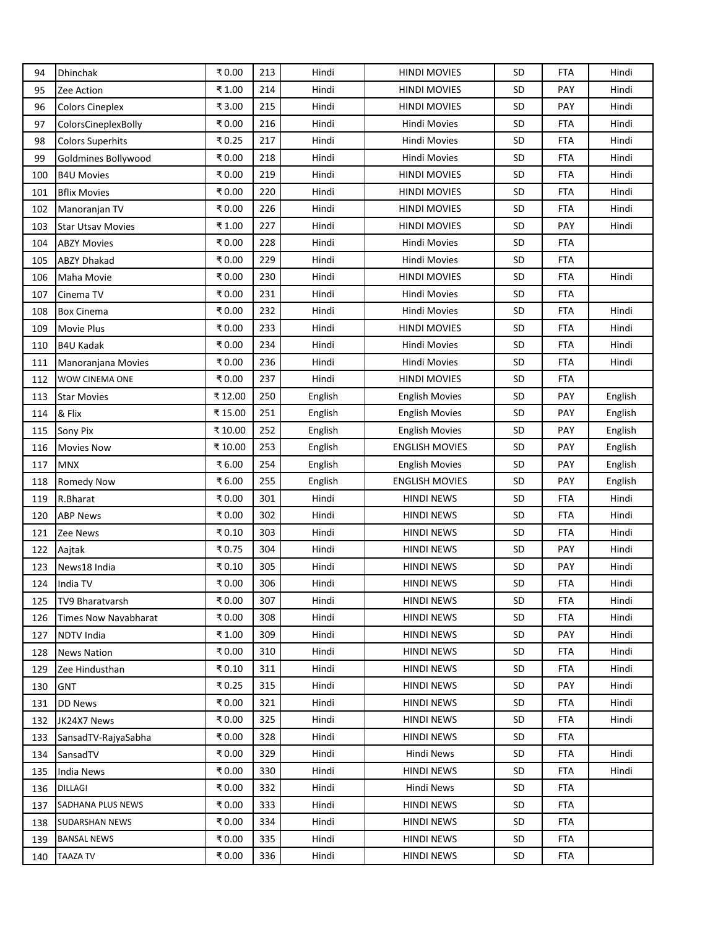| 94  | Dhinchak                 | ₹0.00   | 213 | Hindi   | <b>HINDI MOVIES</b>   | SD        | <b>FTA</b> | Hindi   |
|-----|--------------------------|---------|-----|---------|-----------------------|-----------|------------|---------|
| 95  | Zee Action               | ₹ 1.00  | 214 | Hindi   | <b>HINDI MOVIES</b>   | <b>SD</b> | <b>PAY</b> | Hindi   |
| 96  | <b>Colors Cineplex</b>   | ₹ 3.00  | 215 | Hindi   | <b>HINDI MOVIES</b>   | <b>SD</b> | PAY        | Hindi   |
| 97  | ColorsCineplexBolly      | ₹0.00   | 216 | Hindi   | <b>Hindi Movies</b>   | SD        | FTA        | Hindi   |
| 98  | <b>Colors Superhits</b>  | ₹0.25   | 217 | Hindi   | <b>Hindi Movies</b>   | SD        | FTA        | Hindi   |
| 99  | Goldmines Bollywood      | ₹0.00   | 218 | Hindi   | Hindi Movies          | SD        | <b>FTA</b> | Hindi   |
| 100 | <b>B4U Movies</b>        | ₹0.00   | 219 | Hindi   | <b>HINDI MOVIES</b>   | SD        | <b>FTA</b> | Hindi   |
| 101 | <b>Bflix Movies</b>      | ₹0.00   | 220 | Hindi   | <b>HINDI MOVIES</b>   | <b>SD</b> | FTA        | Hindi   |
| 102 | Manoranjan TV            | ₹0.00   | 226 | Hindi   | <b>HINDI MOVIES</b>   | <b>SD</b> | <b>FTA</b> | Hindi   |
| 103 | <b>Star Utsav Movies</b> | ₹1.00   | 227 | Hindi   | <b>HINDI MOVIES</b>   | <b>SD</b> | PAY        | Hindi   |
| 104 | <b>ABZY Movies</b>       | ₹0.00   | 228 | Hindi   | <b>Hindi Movies</b>   | SD        | FTA        |         |
| 105 | <b>ABZY Dhakad</b>       | ₹0.00   | 229 | Hindi   | <b>Hindi Movies</b>   | <b>SD</b> | <b>FTA</b> |         |
| 106 | Maha Movie               | ₹0.00   | 230 | Hindi   | <b>HINDI MOVIES</b>   | SD        | FTA        | Hindi   |
| 107 | Cinema TV                | ₹0.00   | 231 | Hindi   | <b>Hindi Movies</b>   | SD        | <b>FTA</b> |         |
| 108 | <b>Box Cinema</b>        | ₹0.00   | 232 | Hindi   | Hindi Movies          | <b>SD</b> | FTA        | Hindi   |
| 109 | <b>Movie Plus</b>        | ₹0.00   | 233 | Hindi   | <b>HINDI MOVIES</b>   | <b>SD</b> | FTA        | Hindi   |
| 110 | B4U Kadak                | ₹0.00   | 234 | Hindi   | <b>Hindi Movies</b>   | SD        | <b>FTA</b> | Hindi   |
| 111 | Manoranjana Movies       | ₹0.00   | 236 | Hindi   | <b>Hindi Movies</b>   | SD        | FTA        | Hindi   |
| 112 | WOW CINEMA ONE           | ₹0.00   | 237 | Hindi   | <b>HINDI MOVIES</b>   | SD        | <b>FTA</b> |         |
| 113 | <b>Star Movies</b>       | ₹12.00  | 250 | English | <b>English Movies</b> | <b>SD</b> | <b>PAY</b> | English |
| 114 | & Flix                   | ₹15.00  | 251 | English | <b>English Movies</b> | <b>SD</b> | <b>PAY</b> | English |
| 115 | Sony Pix                 | ₹ 10.00 | 252 | English | <b>English Movies</b> | <b>SD</b> | PAY        | English |
| 116 | <b>Movies Now</b>        | ₹10.00  | 253 | English | <b>ENGLISH MOVIES</b> | SD        | PAY        | English |
| 117 | <b>MNX</b>               | ₹6.00   | 254 | English | <b>English Movies</b> | SD        | <b>PAY</b> | English |
| 118 | <b>Romedy Now</b>        | ₹6.00   | 255 | English | <b>ENGLISH MOVIES</b> | SD        | <b>PAY</b> | English |
| 119 | R.Bharat                 | ₹0.00   | 301 | Hindi   | HINDI NEWS            | <b>SD</b> | <b>FTA</b> | Hindi   |
| 120 | <b>ABP News</b>          | ₹0.00   | 302 | Hindi   | <b>HINDI NEWS</b>     | <b>SD</b> | FTA        | Hindi   |
| 121 | Zee News                 | ₹0.10   | 303 | Hindi   | <b>HINDI NEWS</b>     | SD        | <b>FTA</b> | Hindi   |
| 122 | Aajtak                   | ₹0.75   | 304 | Hindi   | <b>HINDI NEWS</b>     | SD        | PAY        | Hindi   |
| 123 | News18 India             | ₹0.10   | 305 | Hindi   | <b>HINDI NEWS</b>     | SD        | PAY        | Hindi   |
| 124 | India TV                 | ₹0.00   | 306 | Hindi   | <b>HINDI NEWS</b>     | SD        | <b>FTA</b> | Hindi   |
| 125 | TV9 Bharatvarsh          | ₹0.00   | 307 | Hindi   | <b>HINDI NEWS</b>     | <b>SD</b> | <b>FTA</b> | Hindi   |
| 126 | Times Now Navabharat     | ₹0.00   | 308 | Hindi   | <b>HINDI NEWS</b>     | <b>SD</b> | <b>FTA</b> | Hindi   |
| 127 | NDTV India               | ₹1.00   | 309 | Hindi   | <b>HINDI NEWS</b>     | SD        | <b>PAY</b> | Hindi   |
| 128 | <b>News Nation</b>       | ₹0.00   | 310 | Hindi   | <b>HINDI NEWS</b>     | <b>SD</b> | FTA        | Hindi   |
| 129 | Zee Hindusthan           | ₹0.10   | 311 | Hindi   | <b>HINDI NEWS</b>     | <b>SD</b> | <b>FTA</b> | Hindi   |
| 130 | <b>GNT</b>               | ₹0.25   | 315 | Hindi   | <b>HINDI NEWS</b>     | <b>SD</b> | <b>PAY</b> | Hindi   |
| 131 | <b>DD News</b>           | ₹0.00   | 321 | Hindi   | <b>HINDI NEWS</b>     | <b>SD</b> | FTA        | Hindi   |
| 132 | JK24X7 News              | ₹0.00   | 325 | Hindi   | <b>HINDI NEWS</b>     | <b>SD</b> | FTA        | Hindi   |
| 133 | SansadTV-RajyaSabha      | ₹0.00   | 328 | Hindi   | <b>HINDI NEWS</b>     | <b>SD</b> | <b>FTA</b> |         |
| 134 | SansadTV                 | ₹0.00   | 329 | Hindi   | Hindi News            | SD.       | FTA        | Hindi   |
| 135 | <b>India News</b>        | ₹0.00   | 330 | Hindi   | <b>HINDI NEWS</b>     | <b>SD</b> | <b>FTA</b> | Hindi   |
| 136 | DILLAGI                  | ₹0.00   | 332 | Hindi   | Hindi News            | <b>SD</b> | FTA        |         |
| 137 | SADHANA PLUS NEWS        | ₹0.00   | 333 | Hindi   | <b>HINDI NEWS</b>     | <b>SD</b> | FTA        |         |
| 138 | <b>SUDARSHAN NEWS</b>    | ₹0.00   | 334 | Hindi   | <b>HINDI NEWS</b>     | <b>SD</b> | <b>FTA</b> |         |
| 139 | <b>BANSAL NEWS</b>       | ₹0.00   | 335 | Hindi   | <b>HINDI NEWS</b>     | SD.       | FTA        |         |
| 140 | <b>TAAZA TV</b>          | ₹0.00   | 336 | Hindi   | <b>HINDI NEWS</b>     | <b>SD</b> | FTA        |         |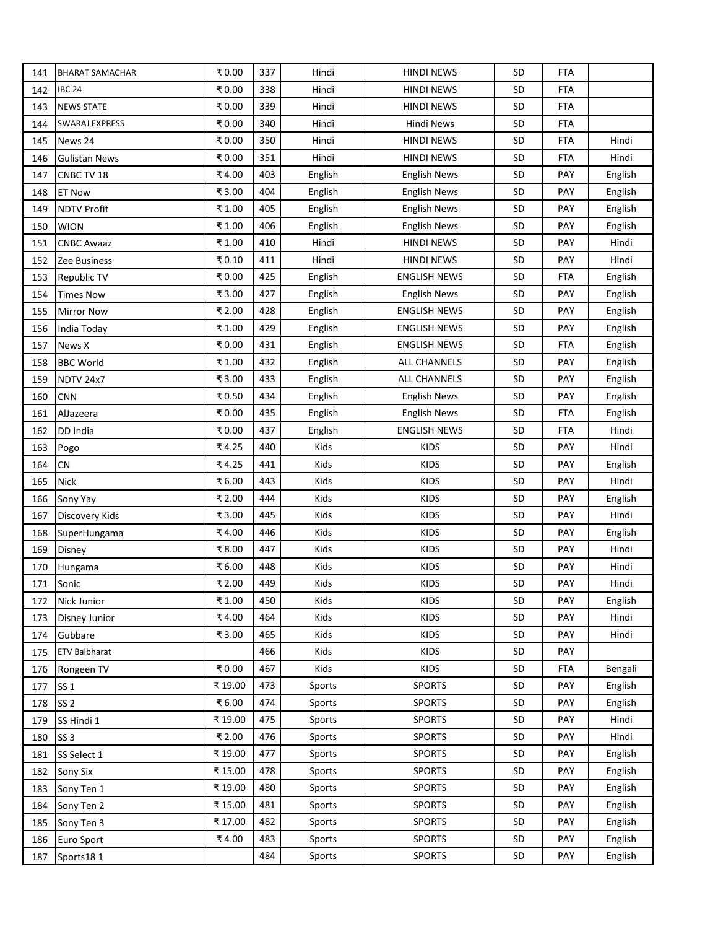| 141 | <b>BHARAT SAMACHAR</b> | ₹0.00  | 337 | Hindi   | <b>HINDI NEWS</b>   | SD        | <b>FTA</b> |         |
|-----|------------------------|--------|-----|---------|---------------------|-----------|------------|---------|
| 142 | <b>IBC 24</b>          | ₹0.00  | 338 | Hindi   | <b>HINDI NEWS</b>   | SD        | <b>FTA</b> |         |
| 143 | <b>NEWS STATE</b>      | ₹0.00  | 339 | Hindi   | <b>HINDI NEWS</b>   | SD        | <b>FTA</b> |         |
| 144 | <b>SWARAJ EXPRESS</b>  | ₹0.00  | 340 | Hindi   | Hindi News          | SD        | <b>FTA</b> |         |
| 145 | News 24                | ₹0.00  | 350 | Hindi   | <b>HINDI NEWS</b>   | SD        | <b>FTA</b> | Hindi   |
| 146 | <b>Gulistan News</b>   | ₹0.00  | 351 | Hindi   | <b>HINDI NEWS</b>   | <b>SD</b> | <b>FTA</b> | Hindi   |
| 147 | CNBC TV 18             | ₹4.00  | 403 | English | <b>English News</b> | SD        | <b>PAY</b> | English |
| 148 | <b>ET Now</b>          | ₹ 3.00 | 404 | English | <b>English News</b> | SD        | <b>PAY</b> | English |
| 149 | <b>NDTV Profit</b>     | ₹1.00  | 405 | English | <b>English News</b> | SD        | <b>PAY</b> | English |
| 150 | <b>WION</b>            | ₹1.00  | 406 | English | <b>English News</b> | SD        | <b>PAY</b> | English |
| 151 | <b>CNBC Awaaz</b>      | ₹1.00  | 410 | Hindi   | <b>HINDI NEWS</b>   | SD        | PAY        | Hindi   |
| 152 | Zee Business           | ₹0.10  | 411 | Hindi   | <b>HINDI NEWS</b>   | SD        | <b>PAY</b> | Hindi   |
| 153 | Republic TV            | ₹0.00  | 425 | English | <b>ENGLISH NEWS</b> | SD        | <b>FTA</b> | English |
| 154 | <b>Times Now</b>       | ₹3.00  | 427 | English | <b>English News</b> | SD        | <b>PAY</b> | English |
| 155 | <b>Mirror Now</b>      | ₹ 2.00 | 428 | English | <b>ENGLISH NEWS</b> | <b>SD</b> | <b>PAY</b> | English |
| 156 | India Today            | ₹1.00  | 429 | English | <b>ENGLISH NEWS</b> | SD        | PAY        | English |
| 157 | News X                 | ₹0.00  | 431 | English | <b>ENGLISH NEWS</b> | SD        | <b>FTA</b> | English |
| 158 | <b>BBC World</b>       | ₹1.00  | 432 | English | <b>ALL CHANNELS</b> | SD        | <b>PAY</b> | English |
| 159 | <b>NDTV 24x7</b>       | ₹3.00  | 433 | English | <b>ALL CHANNELS</b> | SD        | PAY        | English |
| 160 | <b>CNN</b>             | ₹0.50  | 434 | English | <b>English News</b> | <b>SD</b> | <b>PAY</b> | English |
| 161 | AlJazeera              | ₹0.00  | 435 | English | <b>English News</b> | SD        | <b>FTA</b> | English |
| 162 | DD India               | ₹0.00  | 437 | English | <b>ENGLISH NEWS</b> | <b>SD</b> | <b>FTA</b> | Hindi   |
| 163 | Pogo                   | ₹4.25  | 440 | Kids    | <b>KIDS</b>         | SD        | PAY        | Hindi   |
| 164 | CN                     | ₹4.25  | 441 | Kids    | <b>KIDS</b>         | SD        | <b>PAY</b> | English |
| 165 | <b>Nick</b>            | ₹6.00  | 443 | Kids    | <b>KIDS</b>         | SD        | <b>PAY</b> | Hindi   |
| 166 | Sony Yay               | ₹ 2.00 | 444 | Kids    | <b>KIDS</b>         | SD        | <b>PAY</b> | English |
| 167 | Discovery Kids         | ₹ 3.00 | 445 | Kids    | <b>KIDS</b>         | SD        | <b>PAY</b> | Hindi   |
| 168 | SuperHungama           | ₹4.00  | 446 | Kids    | <b>KIDS</b>         | SD        | <b>PAY</b> | English |
| 169 | Disney                 | ₹8.00  | 447 | Kids    | <b>KIDS</b>         | SD        | <b>PAY</b> | Hindi   |
| 170 | Hungama                | ₹6.00  | 448 | Kids    | <b>KIDS</b>         | SD        | <b>PAY</b> | Hindi   |
| 171 | Sonic                  | ₹ 2.00 | 449 | Kids    | <b>KIDS</b>         | SD        | <b>PAY</b> | Hindi   |
| 172 | Nick Junior            | ₹1.00  | 450 | Kids    | <b>KIDS</b>         | SD        | <b>PAY</b> | English |
| 173 | Disney Junior          | ₹4.00  | 464 | Kids    | <b>KIDS</b>         | SD        | <b>PAY</b> | Hindi   |
| 174 | Gubbare                | ₹3.00  | 465 | Kids    | <b>KIDS</b>         | <b>SD</b> | PAY        | Hindi   |
| 175 | <b>ETV Balbharat</b>   |        | 466 | Kids    | <b>KIDS</b>         | SD        | PAY        |         |
| 176 | Rongeen TV             | ₹0.00  | 467 | Kids    | <b>KIDS</b>         | SD        | <b>FTA</b> | Bengali |
| 177 | SS 1                   | ₹19.00 | 473 | Sports  | <b>SPORTS</b>       | <b>SD</b> | PAY        | English |
| 178 | SS <sub>2</sub>        | ₹6.00  | 474 | Sports  | <b>SPORTS</b>       | <b>SD</b> | <b>PAY</b> | English |
| 179 | SS Hindi 1             | ₹19.00 | 475 | Sports  | <b>SPORTS</b>       | <b>SD</b> | PAY        | Hindi   |
| 180 | SS <sub>3</sub>        | ₹ 2.00 | 476 | Sports  | <b>SPORTS</b>       | SD        | <b>PAY</b> | Hindi   |
| 181 | SS Select 1            | ₹19.00 | 477 | Sports  | <b>SPORTS</b>       | <b>SD</b> | PAY        | English |
| 182 | Sony Six               | ₹15.00 | 478 | Sports  | <b>SPORTS</b>       | SD        | PAY        | English |
| 183 | Sony Ten 1             | ₹19.00 | 480 | Sports  | <b>SPORTS</b>       | <b>SD</b> | <b>PAY</b> | English |
| 184 | Sony Ten 2             | ₹15.00 | 481 | Sports  | <b>SPORTS</b>       | <b>SD</b> | <b>PAY</b> | English |
| 185 | Sony Ten 3             | ₹17.00 | 482 | Sports  | <b>SPORTS</b>       | SD        | <b>PAY</b> | English |
| 186 | Euro Sport             | ₹4.00  | 483 | Sports  | <b>SPORTS</b>       | <b>SD</b> | PAY        | English |
| 187 | Sports181              |        | 484 | Sports  | <b>SPORTS</b>       | SD        | PAY        | English |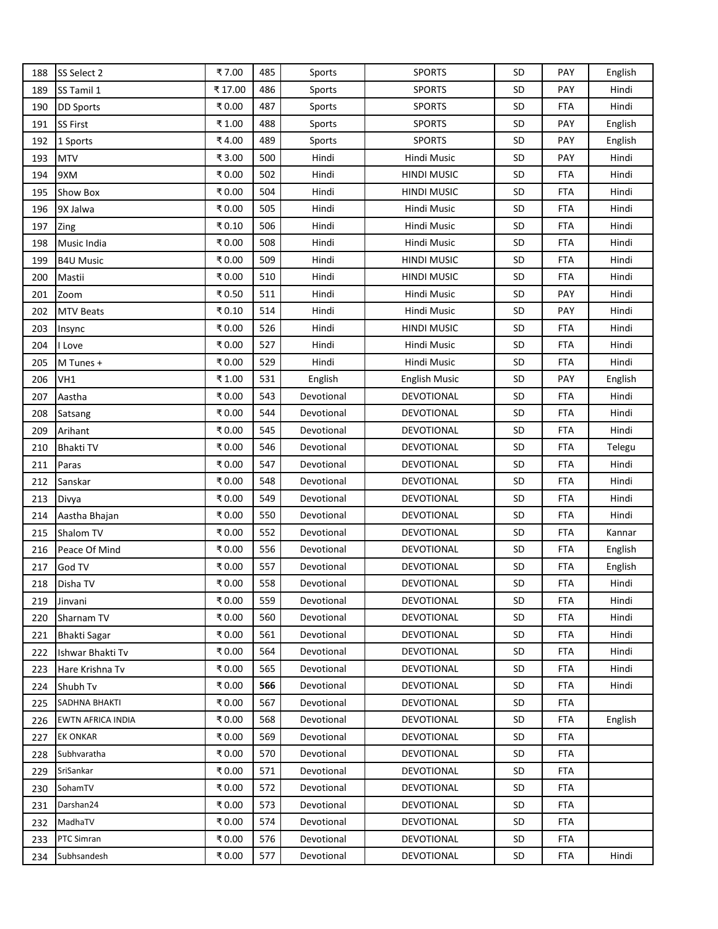| 188 | SS Select 2          | ₹7.00  | 485 | Sports     | <b>SPORTS</b>        | SD        | PAY        | English |
|-----|----------------------|--------|-----|------------|----------------------|-----------|------------|---------|
| 189 | SS Tamil 1           | ₹17.00 | 486 | Sports     | <b>SPORTS</b>        | <b>SD</b> | <b>PAY</b> | Hindi   |
| 190 | <b>DD Sports</b>     | ₹0.00  | 487 | Sports     | <b>SPORTS</b>        | <b>SD</b> | FTA        | Hindi   |
| 191 | <b>SS First</b>      | ₹1.00  | 488 | Sports     | <b>SPORTS</b>        | SD        | <b>PAY</b> | English |
| 192 | 1 Sports             | ₹4.00  | 489 | Sports     | <b>SPORTS</b>        | SD        | PAY        | English |
| 193 | <b>MTV</b>           | ₹3.00  | 500 | Hindi      | Hindi Music          | SD        | <b>PAY</b> | Hindi   |
| 194 | 9XM                  | ₹0.00  | 502 | Hindi      | <b>HINDI MUSIC</b>   | <b>SD</b> | <b>FTA</b> | Hindi   |
| 195 | <b>Show Box</b>      | ₹0.00  | 504 | Hindi      | <b>HINDI MUSIC</b>   | <b>SD</b> | FTA        | Hindi   |
| 196 | 9X Jalwa             | ₹0.00  | 505 | Hindi      | Hindi Music          | SD        | <b>FTA</b> | Hindi   |
| 197 | Zing                 | ₹0.10  | 506 | Hindi      | Hindi Music          | <b>SD</b> | FTA        | Hindi   |
| 198 | Music India          | ₹0.00  | 508 | Hindi      | Hindi Music          | SD        | <b>FTA</b> | Hindi   |
| 199 | <b>B4U Music</b>     | ₹0.00  | 509 | Hindi      | <b>HINDI MUSIC</b>   | <b>SD</b> | FTA        | Hindi   |
| 200 | Mastii               | ₹0.00  | 510 | Hindi      | <b>HINDI MUSIC</b>   | SD        | FTA        | Hindi   |
| 201 | Zoom                 | ₹0.50  | 511 | Hindi      | Hindi Music          | SD        | <b>PAY</b> | Hindi   |
| 202 | <b>MTV Beats</b>     | ₹0.10  | 514 | Hindi      | Hindi Music          | <b>SD</b> | <b>PAY</b> | Hindi   |
| 203 | Insync               | ₹0.00  | 526 | Hindi      | HINDI MUSIC          | <b>SD</b> | FTA        | Hindi   |
| 204 | I Love               | ₹0.00  | 527 | Hindi      | Hindi Music          | <b>SD</b> | FTA        | Hindi   |
| 205 | M Tunes +            | ₹0.00  | 529 | Hindi      | Hindi Music          | SD        | <b>FTA</b> | Hindi   |
| 206 | VH1                  | ₹1.00  | 531 | English    | <b>English Music</b> | <b>SD</b> | <b>PAY</b> | English |
| 207 | Aastha               | ₹0.00  | 543 | Devotional | DEVOTIONAL           | SD        | <b>FTA</b> | Hindi   |
| 208 | Satsang              | ₹0.00  | 544 | Devotional | DEVOTIONAL           | <b>SD</b> | FTA        | Hindi   |
| 209 | Arihant              | ₹0.00  | 545 | Devotional | DEVOTIONAL           | <b>SD</b> | FTA        | Hindi   |
| 210 | <b>Bhakti TV</b>     | ₹0.00  | 546 | Devotional | DEVOTIONAL           | SD        | FTA        | Telegu  |
| 211 | Paras                | ₹0.00  | 547 | Devotional | DEVOTIONAL           | SD        | <b>FTA</b> | Hindi   |
| 212 | Sanskar              | ₹0.00  | 548 | Devotional | DEVOTIONAL           | <b>SD</b> | <b>FTA</b> | Hindi   |
| 213 | Divya                | ₹0.00  | 549 | Devotional | DEVOTIONAL           | <b>SD</b> | <b>FTA</b> | Hindi   |
| 214 | Aastha Bhajan        | ₹0.00  | 550 | Devotional | DEVOTIONAL           | <b>SD</b> | FTA        | Hindi   |
| 215 | Shalom TV            | ₹0.00  | 552 | Devotional | DEVOTIONAL           | <b>SD</b> | FTA        | Kannar  |
| 216 | Peace Of Mind        | ₹0.00  | 556 | Devotional | DEVOTIONAL           | <b>SD</b> | FTA        | English |
| 217 | God TV               | ₹0.00  | 557 | Devotional | DEVOTIONAL           | SD        | <b>FTA</b> | English |
| 218 | Disha TV             | ₹0.00  | 558 | Devotional | DEVOTIONAL           | SD        | <b>FTA</b> | Hindi   |
| 219 | Jinvani              | ₹0.00  | 559 | Devotional | DEVOTIONAL           | <b>SD</b> | FTA        | Hindi   |
| 220 | Sharnam TV           | ₹0.00  | 560 | Devotional | DEVOTIONAL           | <b>SD</b> | <b>FTA</b> | Hindi   |
| 221 | <b>Bhakti Sagar</b>  | ₹0.00  | 561 | Devotional | DEVOTIONAL           | <b>SD</b> | FTA        | Hindi   |
| 222 | Ishwar Bhakti Tv     | ₹0.00  | 564 | Devotional | DEVOTIONAL           | <b>SD</b> | FTA        | Hindi   |
| 223 | Hare Krishna Tv      | ₹0.00  | 565 | Devotional | DEVOTIONAL           | <b>SD</b> | FTA        | Hindi   |
| 224 | Shubh Tv             | ₹0.00  | 566 | Devotional | DEVOTIONAL           | SD        | <b>FTA</b> | Hindi   |
| 225 | <b>SADHNA BHAKTI</b> | ₹0.00  | 567 | Devotional | DEVOTIONAL           | <b>SD</b> | FTA        |         |
| 226 | EWTN AFRICA INDIA    | ₹0.00  | 568 | Devotional | DEVOTIONAL           | <b>SD</b> | FTA        | English |
| 227 | <b>EK ONKAR</b>      | ₹0.00  | 569 | Devotional | DEVOTIONAL           | <b>SD</b> | <b>FTA</b> |         |
| 228 | Subhvaratha          | ₹0.00  | 570 | Devotional | DEVOTIONAL           | <b>SD</b> | FTA        |         |
| 229 | SriSankar            | ₹0.00  | 571 | Devotional | DEVOTIONAL           | <b>SD</b> | <b>FTA</b> |         |
| 230 | SohamTV              | ₹0.00  | 572 | Devotional | DEVOTIONAL           | <b>SD</b> | FTA        |         |
| 231 | Darshan24            | ₹0.00  | 573 | Devotional | DEVOTIONAL           | <b>SD</b> | <b>FTA</b> |         |
| 232 | MadhaTV              | ₹0.00  | 574 | Devotional | DEVOTIONAL           | <b>SD</b> | FTA        |         |
| 233 | PTC Simran           | ₹0.00  | 576 | Devotional | DEVOTIONAL           | <b>SD</b> | FTA        |         |
| 234 | Subhsandesh          | ₹0.00  | 577 | Devotional | DEVOTIONAL           | <b>SD</b> | FTA        | Hindi   |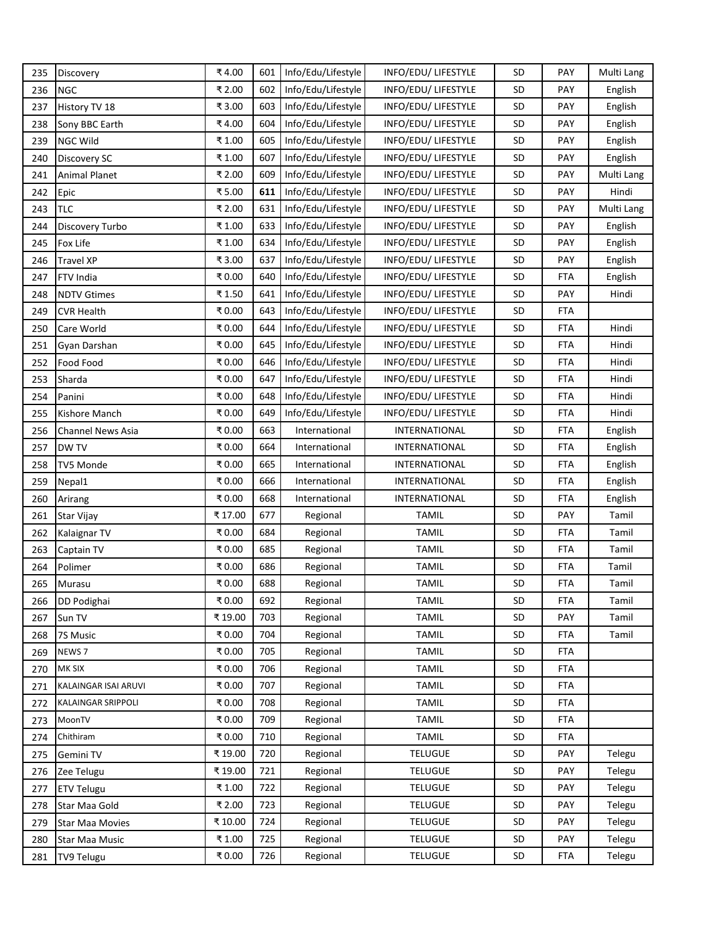| 235 | Discovery              | ₹4.00  | 601 | Info/Edu/Lifestyle | INFO/EDU/ LIFESTYLE  | SD        | PAY        | Multi Lang |
|-----|------------------------|--------|-----|--------------------|----------------------|-----------|------------|------------|
| 236 | <b>NGC</b>             | ₹ 2.00 | 602 | Info/Edu/Lifestyle | INFO/EDU/ LIFESTYLE  | <b>SD</b> | <b>PAY</b> | English    |
| 237 | History TV 18          | ₹ 3.00 | 603 | Info/Edu/Lifestyle | INFO/EDU/ LIFESTYLE  | <b>SD</b> | <b>PAY</b> | English    |
| 238 | Sony BBC Earth         | ₹4.00  | 604 | Info/Edu/Lifestyle | INFO/EDU/ LIFESTYLE  | SD        | <b>PAY</b> | English    |
| 239 | <b>NGC Wild</b>        | ₹1.00  | 605 | Info/Edu/Lifestyle | INFO/EDU/ LIFESTYLE  | <b>SD</b> | PAY        | English    |
| 240 | Discovery SC           | ₹1.00  | 607 | Info/Edu/Lifestyle | INFO/EDU/ LIFESTYLE  | SD        | <b>PAY</b> | English    |
| 241 | <b>Animal Planet</b>   | ₹ 2.00 | 609 | Info/Edu/Lifestyle | INFO/EDU/ LIFESTYLE  | <b>SD</b> | <b>PAY</b> | Multi Lang |
| 242 | Epic                   | ₹5.00  | 611 | Info/Edu/Lifestyle | INFO/EDU/ LIFESTYLE  | <b>SD</b> | <b>PAY</b> | Hindi      |
| 243 | <b>TLC</b>             | ₹ 2.00 | 631 | Info/Edu/Lifestyle | INFO/EDU/ LIFESTYLE  | <b>SD</b> | <b>PAY</b> | Multi Lang |
| 244 | Discovery Turbo        | ₹1.00  | 633 | Info/Edu/Lifestyle | INFO/EDU/ LIFESTYLE  | <b>SD</b> | <b>PAY</b> | English    |
| 245 | Fox Life               | ₹1.00  | 634 | Info/Edu/Lifestyle | INFO/EDU/ LIFESTYLE  | SD        | PAY        | English    |
| 246 | Travel XP              | ₹3.00  | 637 | Info/Edu/Lifestyle | INFO/EDU/ LIFESTYLE  | <b>SD</b> | <b>PAY</b> | English    |
| 247 | FTV India              | ₹0.00  | 640 | Info/Edu/Lifestyle | INFO/EDU/ LIFESTYLE  | SD        | FTA        | English    |
| 248 | <b>NDTV Gtimes</b>     | ₹1.50  | 641 | Info/Edu/Lifestyle | INFO/EDU/ LIFESTYLE  | SD        | <b>PAY</b> | Hindi      |
| 249 | <b>CVR Health</b>      | ₹0.00  | 643 | Info/Edu/Lifestyle | INFO/EDU/ LIFESTYLE  | <b>SD</b> | <b>FTA</b> |            |
| 250 | Care World             | ₹0.00  | 644 | Info/Edu/Lifestyle | INFO/EDU/ LIFESTYLE  | <b>SD</b> | <b>FTA</b> | Hindi      |
| 251 | Gyan Darshan           | ₹0.00  | 645 | Info/Edu/Lifestyle | INFO/EDU/ LIFESTYLE  | <b>SD</b> | <b>FTA</b> | Hindi      |
| 252 | Food Food              | ₹0.00  | 646 | Info/Edu/Lifestyle | INFO/EDU/ LIFESTYLE  | SD        | <b>FTA</b> | Hindi      |
| 253 | Sharda                 | ₹0.00  | 647 | Info/Edu/Lifestyle | INFO/EDU/ LIFESTYLE  | <b>SD</b> | <b>FTA</b> | Hindi      |
| 254 | Panini                 | ₹0.00  | 648 | Info/Edu/Lifestyle | INFO/EDU/ LIFESTYLE  | <b>SD</b> | <b>FTA</b> | Hindi      |
| 255 | Kishore Manch          | ₹0.00  | 649 | Info/Edu/Lifestyle | INFO/EDU/ LIFESTYLE  | <b>SD</b> | <b>FTA</b> | Hindi      |
| 256 | Channel News Asia      | ₹0.00  | 663 | International      | INTERNATIONAL        | <b>SD</b> | <b>FTA</b> | English    |
| 257 | DW TV                  | ₹0.00  | 664 | International      | INTERNATIONAL        | SD        | <b>FTA</b> | English    |
| 258 | TV5 Monde              | ₹0.00  | 665 | International      | <b>INTERNATIONAL</b> | <b>SD</b> | <b>FTA</b> | English    |
| 259 | Nepal1                 | ₹0.00  | 666 | International      | INTERNATIONAL        | SD        | <b>FTA</b> | English    |
| 260 | Arirang                | ₹0.00  | 668 | International      | INTERNATIONAL        | <b>SD</b> | <b>FTA</b> | English    |
| 261 | Star Vijay             | ₹17.00 | 677 | Regional           | <b>TAMIL</b>         | <b>SD</b> | PAY        | Tamil      |
| 262 | Kalaignar TV           | ₹0.00  | 684 | Regional           | <b>TAMIL</b>         | <b>SD</b> | <b>FTA</b> | Tamil      |
| 263 | Captain TV             | ₹0.00  | 685 | Regional           | <b>TAMIL</b>         | <b>SD</b> | <b>FTA</b> | Tamil      |
| 264 | Polimer                | ₹0.00  | 686 | Regional           | <b>TAMIL</b>         | <b>SD</b> | <b>FTA</b> | Tamil      |
| 265 | Murasu                 | ₹0.00  | 688 | Regional           | <b>TAMIL</b>         | SD        | <b>FTA</b> | Tamil      |
| 266 | DD Podighai            | ₹0.00  | 692 | Regional           | <b>TAMIL</b>         | SD        | <b>FTA</b> | Tamil      |
| 267 | Sun TV                 | ₹19.00 | 703 | Regional           | <b>TAMIL</b>         | SD        | PAY        | Tamil      |
| 268 | 7S Music               | ₹0.00  | 704 | Regional           | <b>TAMIL</b>         | <b>SD</b> | FTA        | Tamil      |
| 269 | NEWS <sub>7</sub>      | ₹0.00  | 705 | Regional           | <b>TAMIL</b>         | <b>SD</b> | <b>FTA</b> |            |
| 270 | MK SIX                 | ₹0.00  | 706 | Regional           | <b>TAMIL</b>         | <b>SD</b> | <b>FTA</b> |            |
| 271 | KALAINGAR ISAI ARUVI   | ₹0.00  | 707 | Regional           | <b>TAMIL</b>         | SD        | <b>FTA</b> |            |
| 272 | KALAINGAR SRIPPOLI     | ₹0.00  | 708 | Regional           | <b>TAMIL</b>         | <b>SD</b> | <b>FTA</b> |            |
| 273 | MoonTV                 | ₹0.00  | 709 | Regional           | <b>TAMIL</b>         | <b>SD</b> | <b>FTA</b> |            |
| 274 | Chithiram              | ₹0.00  | 710 | Regional           | <b>TAMIL</b>         | <b>SD</b> | <b>FTA</b> |            |
| 275 | Gemini TV              | ₹19.00 | 720 | Regional           | <b>TELUGUE</b>       | <b>SD</b> | <b>PAY</b> | Telegu     |
| 276 | Zee Telugu             | ₹19.00 | 721 | Regional           | <b>TELUGUE</b>       | <b>SD</b> | PAY        | Telegu     |
| 277 | <b>ETV Telugu</b>      | ₹1.00  | 722 | Regional           | <b>TELUGUE</b>       | <b>SD</b> | PAY        | Telegu     |
| 278 | Star Maa Gold          | ₹ 2.00 | 723 | Regional           | <b>TELUGUE</b>       | <b>SD</b> | PAY        | Telegu     |
| 279 | <b>Star Maa Movies</b> | ₹10.00 | 724 | Regional           | <b>TELUGUE</b>       | <b>SD</b> | <b>PAY</b> | Telegu     |
| 280 | Star Maa Music         | ₹1.00  | 725 | Regional           | <b>TELUGUE</b>       | <b>SD</b> | PAY        | Telegu     |
| 281 | TV9 Telugu             | ₹0.00  | 726 | Regional           | <b>TELUGUE</b>       | <b>SD</b> | FTA        | Telegu     |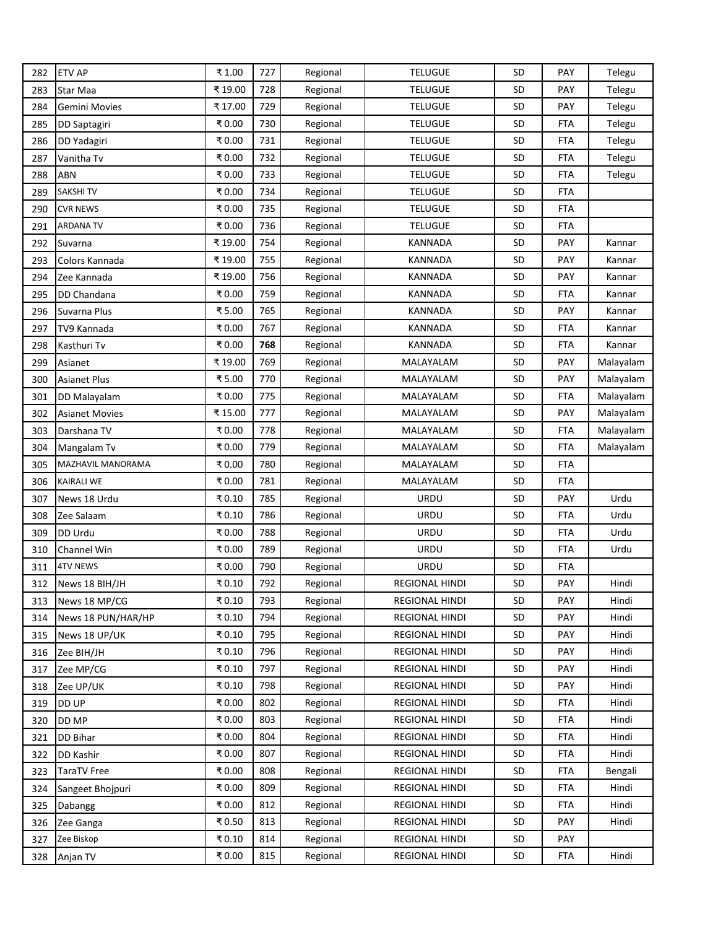| 282 | <b>ETV AP</b>         | ₹1.00   | 727 | Regional | <b>TELUGUE</b>        | SD        | PAY        | Telegu    |
|-----|-----------------------|---------|-----|----------|-----------------------|-----------|------------|-----------|
| 283 | Star Maa              | ₹19.00  | 728 | Regional | <b>TELUGUE</b>        | <b>SD</b> | <b>PAY</b> | Telegu    |
| 284 | Gemini Movies         | ₹ 17.00 | 729 | Regional | <b>TELUGUE</b>        | <b>SD</b> | PAY        | Telegu    |
| 285 | <b>DD Saptagiri</b>   | ₹0.00   | 730 | Regional | <b>TELUGUE</b>        | SD        | FTA        | Telegu    |
| 286 | DD Yadagiri           | ₹0.00   | 731 | Regional | <b>TELUGUE</b>        | <b>SD</b> | <b>FTA</b> | Telegu    |
| 287 | Vanitha Tv            | ₹0.00   | 732 | Regional | <b>TELUGUE</b>        | SD        | <b>FTA</b> | Telegu    |
| 288 | ABN                   | ₹0.00   | 733 | Regional | <b>TELUGUE</b>        | <b>SD</b> | FTA        | Telegu    |
| 289 | <b>SAKSHITV</b>       | ₹0.00   | 734 | Regional | <b>TELUGUE</b>        | SD        | <b>FTA</b> |           |
| 290 | <b>CVR NEWS</b>       | ₹0.00   | 735 | Regional | <b>TELUGUE</b>        | <b>SD</b> | <b>FTA</b> |           |
| 291 | ARDANA TV             | ₹0.00   | 736 | Regional | <b>TELUGUE</b>        | <b>SD</b> | <b>FTA</b> |           |
| 292 | Suvarna               | ₹19.00  | 754 | Regional | KANNADA               | SD        | PAY        | Kannar    |
| 293 | Colors Kannada        | ₹19.00  | 755 | Regional | <b>KANNADA</b>        | SD        | <b>PAY</b> | Kannar    |
| 294 | Zee Kannada           | ₹19.00  | 756 | Regional | <b>KANNADA</b>        | SD        | <b>PAY</b> | Kannar    |
| 295 | DD Chandana           | ₹0.00   | 759 | Regional | <b>KANNADA</b>        | SD        | <b>FTA</b> | Kannar    |
| 296 | Suvarna Plus          | ₹5.00   | 765 | Regional | <b>KANNADA</b>        | <b>SD</b> | PAY        | Kannar    |
| 297 | TV9 Kannada           | ₹0.00   | 767 | Regional | <b>KANNADA</b>        | <b>SD</b> | <b>FTA</b> | Kannar    |
| 298 | Kasthuri Tv           | ₹0.00   | 768 | Regional | KANNADA               | <b>SD</b> | <b>FTA</b> | Kannar    |
| 299 | Asianet               | ₹19.00  | 769 | Regional | MALAYALAM             | SD        | PAY        | Malayalam |
| 300 | <b>Asianet Plus</b>   | ₹5.00   | 770 | Regional | MALAYALAM             | <b>SD</b> | PAY        | Malayalam |
| 301 | DD Malayalam          | ₹0.00   | 775 | Regional | MALAYALAM             | <b>SD</b> | FTA        | Malayalam |
| 302 | <b>Asianet Movies</b> | ₹15.00  | 777 | Regional | MALAYALAM             | <b>SD</b> | PAY        | Malayalam |
| 303 | Darshana TV           | ₹0.00   | 778 | Regional | MALAYALAM             | <b>SD</b> | FTA        | Malayalam |
| 304 | Mangalam Tv           | ₹0.00   | 779 | Regional | MALAYALAM             | SD        | FTA        | Malayalam |
| 305 | MAZHAVIL MANORAMA     | ₹0.00   | 780 | Regional | MALAYALAM             | <b>SD</b> | <b>FTA</b> |           |
| 306 | <b>KAIRALI WE</b>     | ₹0.00   | 781 | Regional | MALAYALAM             | SD        | <b>FTA</b> |           |
| 307 | News 18 Urdu          | ₹0.10   | 785 | Regional | <b>URDU</b>           | <b>SD</b> | <b>PAY</b> | Urdu      |
| 308 | Zee Salaam            | ₹0.10   | 786 | Regional | URDU                  | <b>SD</b> | <b>FTA</b> | Urdu      |
| 309 | DD Urdu               | ₹0.00   | 788 | Regional | URDU                  | <b>SD</b> | FTA        | Urdu      |
| 310 | Channel Win           | ₹0.00   | 789 | Regional | <b>URDU</b>           | <b>SD</b> | <b>FTA</b> | Urdu      |
| 311 | <b>4TV NEWS</b>       | ₹0.00   | 790 | Regional | URDU                  | SD        | <b>FTA</b> |           |
| 312 | News 18 BIH/JH        | ₹0.10   | 792 | Regional | <b>REGIONAL HINDI</b> | SD        | PAY        | Hindi     |
| 313 | News 18 MP/CG         | ₹0.10   | 793 | Regional | <b>REGIONAL HINDI</b> | SD        | <b>PAY</b> | Hindi     |
| 314 | News 18 PUN/HAR/HP    | ₹0.10   | 794 | Regional | REGIONAL HINDI        | SD        | <b>PAY</b> | Hindi     |
| 315 | News 18 UP/UK         | ₹0.10   | 795 | Regional | <b>REGIONAL HINDI</b> | <b>SD</b> | PAY        | Hindi     |
| 316 | Zee BIH/JH            | ₹0.10   | 796 | Regional | REGIONAL HINDI        | <b>SD</b> | <b>PAY</b> | Hindi     |
| 317 | Zee MP/CG             | ₹0.10   | 797 | Regional | REGIONAL HINDI        | <b>SD</b> | PAY        | Hindi     |
| 318 | Zee UP/UK             | ₹0.10   | 798 | Regional | REGIONAL HINDI        | SD        | PAY        | Hindi     |
| 319 | DD UP                 | ₹0.00   | 802 | Regional | REGIONAL HINDI        | <b>SD</b> | FTA        | Hindi     |
| 320 | DD MP                 | ₹0.00   | 803 | Regional | REGIONAL HINDI        | <b>SD</b> | <b>FTA</b> | Hindi     |
| 321 | DD Bihar              | ₹0.00   | 804 | Regional | <b>REGIONAL HINDI</b> | <b>SD</b> | FTA        | Hindi     |
| 322 | DD Kashir             | ₹0.00   | 807 | Regional | REGIONAL HINDI        | <b>SD</b> | <b>FTA</b> | Hindi     |
| 323 | TaraTV Free           | ₹0.00   | 808 | Regional | REGIONAL HINDI        | <b>SD</b> | FTA        | Bengali   |
| 324 | Sangeet Bhojpuri      | ₹0.00   | 809 | Regional | REGIONAL HINDI        | <b>SD</b> | <b>FTA</b> | Hindi     |
| 325 | Dabangg               | ₹0.00   | 812 | Regional | REGIONAL HINDI        | <b>SD</b> | FTA        | Hindi     |
| 326 | Zee Ganga             | ₹0.50   | 813 | Regional | REGIONAL HINDI        | <b>SD</b> | <b>PAY</b> | Hindi     |
| 327 | Zee Biskop            | ₹0.10   | 814 | Regional | REGIONAL HINDI        | <b>SD</b> | PAY        |           |
| 328 | Anjan TV              | ₹0.00   | 815 | Regional | REGIONAL HINDI        | <b>SD</b> | FTA        | Hindi     |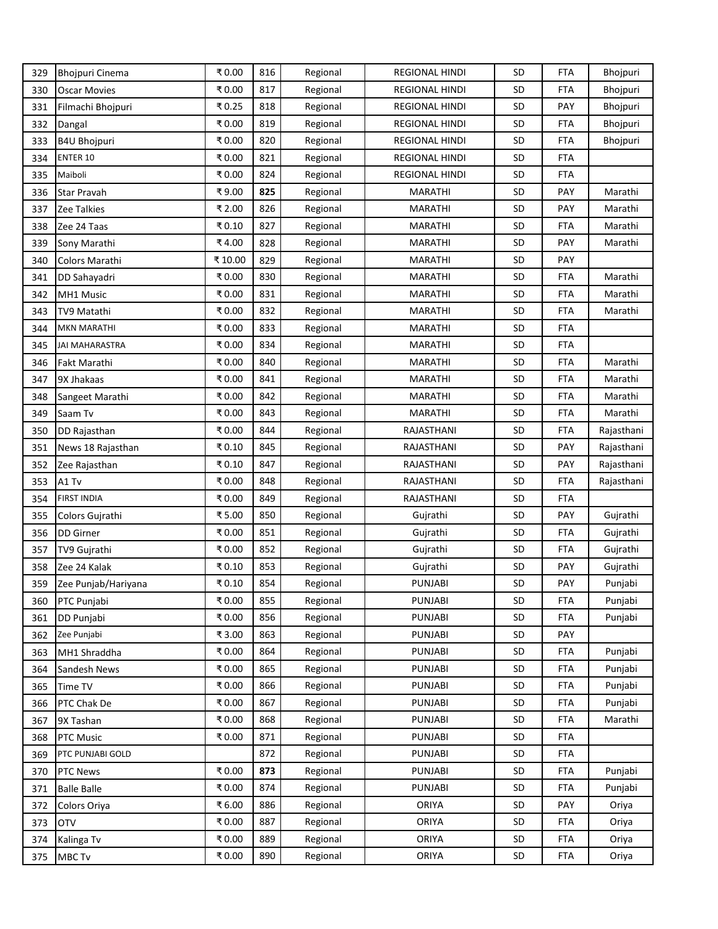| 329 | <b>Bhojpuri Cinema</b> | ₹0.00  | 816 | Regional | <b>REGIONAL HINDI</b> | SD        | FTA        | Bhojpuri   |
|-----|------------------------|--------|-----|----------|-----------------------|-----------|------------|------------|
| 330 | <b>Oscar Movies</b>    | ₹0.00  | 817 | Regional | <b>REGIONAL HINDI</b> | SD        | FTA        | Bhojpuri   |
| 331 | Filmachi Bhojpuri      | ₹0.25  | 818 | Regional | <b>REGIONAL HINDI</b> | SD        | PAY        | Bhojpuri   |
| 332 | Dangal                 | ₹0.00  | 819 | Regional | <b>REGIONAL HINDI</b> | SD        | <b>FTA</b> | Bhojpuri   |
| 333 | B4U Bhojpuri           | ₹0.00  | 820 | Regional | <b>REGIONAL HINDI</b> | SD        | FTA        | Bhojpuri   |
| 334 | <b>ENTER 10</b>        | ₹0.00  | 821 | Regional | <b>REGIONAL HINDI</b> | <b>SD</b> | <b>FTA</b> |            |
| 335 | Maiboli                | ₹0.00  | 824 | Regional | <b>REGIONAL HINDI</b> | SD        | FTA        |            |
| 336 | <b>Star Pravah</b>     | ₹9.00  | 825 | Regional | <b>MARATHI</b>        | <b>SD</b> | PAY        | Marathi    |
| 337 | Zee Talkies            | ₹ 2.00 | 826 | Regional | <b>MARATHI</b>        | SD        | <b>PAY</b> | Marathi    |
| 338 | Zee 24 Taas            | ₹0.10  | 827 | Regional | <b>MARATHI</b>        | <b>SD</b> | <b>FTA</b> | Marathi    |
| 339 | Sony Marathi           | ₹4.00  | 828 | Regional | <b>MARATHI</b>        | SD        | PAY        | Marathi    |
| 340 | Colors Marathi         | ₹10.00 | 829 | Regional | MARATHI               | <b>SD</b> | PAY        |            |
| 341 | DD Sahayadri           | ₹0.00  | 830 | Regional | <b>MARATHI</b>        | SD        | <b>FTA</b> | Marathi    |
| 342 | MH1 Music              | ₹0.00  | 831 | Regional | MARATHI               | SD        | <b>FTA</b> | Marathi    |
| 343 | TV9 Matathi            | ₹0.00  | 832 | Regional | <b>MARATHI</b>        | <b>SD</b> | FTA        | Marathi    |
| 344 | <b>MKN MARATHI</b>     | ₹0.00  | 833 | Regional | <b>MARATHI</b>        | <b>SD</b> | <b>FTA</b> |            |
| 345 | <b>JAI MAHARASTRA</b>  | ₹0.00  | 834 | Regional | <b>MARATHI</b>        | <b>SD</b> | <b>FTA</b> |            |
| 346 | Fakt Marathi           | ₹0.00  | 840 | Regional | <b>MARATHI</b>        | SD        | FTA        | Marathi    |
| 347 | 9X Jhakaas             | ₹0.00  | 841 | Regional | <b>MARATHI</b>        | SD        | FTA        | Marathi    |
| 348 | Sangeet Marathi        | ₹0.00  | 842 | Regional | <b>MARATHI</b>        | <b>SD</b> | FTA        | Marathi    |
| 349 | Saam Tv                | ₹0.00  | 843 | Regional | <b>MARATHI</b>        | <b>SD</b> | <b>FTA</b> | Marathi    |
| 350 | DD Rajasthan           | ₹0.00  | 844 | Regional | RAJASTHANI            | <b>SD</b> | FTA        | Rajasthani |
| 351 | News 18 Rajasthan      | ₹0.10  | 845 | Regional | RAJASTHANI            | SD        | <b>PAY</b> | Rajasthani |
| 352 | Zee Rajasthan          | ₹0.10  | 847 | Regional | RAJASTHANI            | <b>SD</b> | PAY        | Rajasthani |
| 353 | A1 Tv                  | ₹0.00  | 848 | Regional | RAJASTHANI            | <b>SD</b> | FTA        | Rajasthani |
| 354 | <b>FIRST INDIA</b>     | ₹0.00  | 849 | Regional | RAJASTHANI            | SD        | FTA        |            |
| 355 | Colors Gujrathi        | ₹5.00  | 850 | Regional | Gujrathi              | <b>SD</b> | <b>PAY</b> | Gujrathi   |
| 356 | DD Girner              | ₹0.00  | 851 | Regional | Gujrathi              | SD        | <b>FTA</b> | Gujrathi   |
| 357 | TV9 Gujrathi           | ₹0.00  | 852 | Regional | Gujrathi              | <b>SD</b> | <b>FTA</b> | Gujrathi   |
| 358 | Zee 24 Kalak           | ₹0.10  | 853 | Regional | Gujrathi              | SD        | PAY        | Gujrathi   |
| 359 | Zee Punjab/Hariyana    | ₹0.10  | 854 | Regional | <b>PUNJABI</b>        | SD        | <b>PAY</b> | Punjabi    |
| 360 | PTC Punjabi            | ₹0.00  | 855 | Regional | PUNJABI               | <b>SD</b> | <b>FTA</b> | Punjabi    |
| 361 | DD Punjabi             | ₹0.00  | 856 | Regional | <b>PUNJABI</b>        | <b>SD</b> | <b>FTA</b> | Punjabi    |
| 362 | Zee Punjabi            | ₹3.00  | 863 | Regional | <b>PUNJABI</b>        | <b>SD</b> | PAY        |            |
| 363 | MH1 Shraddha           | ₹0.00  | 864 | Regional | <b>PUNJABI</b>        | SD        | <b>FTA</b> | Punjabi    |
| 364 | Sandesh News           | ₹0.00  | 865 | Regional | <b>PUNJABI</b>        | SD        | <b>FTA</b> | Punjabi    |
| 365 | Time TV                | ₹0.00  | 866 | Regional | <b>PUNJABI</b>        | <b>SD</b> | <b>FTA</b> | Punjabi    |
| 366 | PTC Chak De            | ₹0.00  | 867 | Regional | PUNJABI               | <b>SD</b> | <b>FTA</b> | Punjabi    |
| 367 | 9X Tashan              | ₹0.00  | 868 | Regional | <b>PUNJABI</b>        | SD        | <b>FTA</b> | Marathi    |
| 368 | PTC Music              | ₹0.00  | 871 | Regional | <b>PUNJABI</b>        | SD        | <b>FTA</b> |            |
| 369 | PTC PUNJABI GOLD       |        | 872 | Regional | PUNJABI               | <b>SD</b> | <b>FTA</b> |            |
| 370 | <b>PTC News</b>        | ₹0.00  | 873 | Regional | PUNJABI               | SD        | <b>FTA</b> | Punjabi    |
| 371 | <b>Balle Balle</b>     | ₹0.00  | 874 | Regional | <b>PUNJABI</b>        | <b>SD</b> | <b>FTA</b> | Punjabi    |
| 372 | Colors Oriya           | ₹6.00  | 886 | Regional | ORIYA                 | <b>SD</b> | PAY        | Oriya      |
| 373 | <b>OTV</b>             | ₹0.00  | 887 | Regional | ORIYA                 | SD        | FTA        | Oriya      |
| 374 | Kalinga Tv             | ₹0.00  | 889 | Regional | ORIYA                 | <b>SD</b> | <b>FTA</b> | Oriya      |
| 375 | MBC Tv                 | ₹0.00  | 890 | Regional | ORIYA                 | SD        | <b>FTA</b> | Oriya      |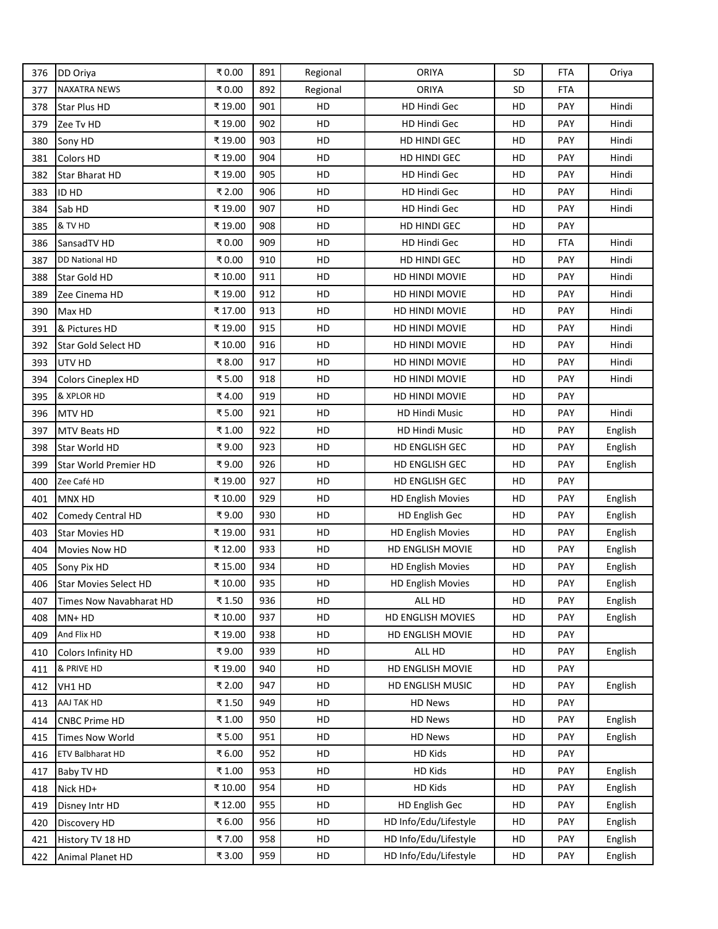| 376 | DD Oriya                     | ₹0.00   | 891 | Regional | <b>ORIYA</b>             | SD        | FTA        | Oriya   |
|-----|------------------------------|---------|-----|----------|--------------------------|-----------|------------|---------|
| 377 | <b>NAXATRA NEWS</b>          | ₹0.00   | 892 | Regional | <b>ORIYA</b>             | <b>SD</b> | <b>FTA</b> |         |
| 378 | <b>Star Plus HD</b>          | ₹19.00  | 901 | HD       | HD Hindi Gec             | HD        | PAY        | Hindi   |
| 379 | Zee Tv HD                    | ₹19.00  | 902 | HD       | HD Hindi Gec             | HD        | PAY        | Hindi   |
| 380 | Sony HD                      | ₹19.00  | 903 | HD       | HD HINDI GEC             | HD        | PAY        | Hindi   |
| 381 | <b>Colors HD</b>             | ₹19.00  | 904 | HD       | HD HINDI GEC             | HD        | <b>PAY</b> | Hindi   |
| 382 | <b>Star Bharat HD</b>        | ₹19.00  | 905 | HD       | HD Hindi Gec             | HD        | <b>PAY</b> | Hindi   |
| 383 | ID HD                        | ₹ 2.00  | 906 | HD       | HD Hindi Gec             | HD        | PAY        | Hindi   |
| 384 | Sab HD                       | ₹19.00  | 907 | HD       | HD Hindi Gec             | HD        | PAY        | Hindi   |
| 385 | & TV HD                      | ₹19.00  | 908 | HD       | HD HINDI GEC             | HD        | PAY        |         |
| 386 | SansadTV HD                  | ₹0.00   | 909 | HD       | HD Hindi Gec             | HD        | <b>FTA</b> | Hindi   |
| 387 | DD National HD               | ₹0.00   | 910 | HD       | HD HINDI GEC             | HD        | <b>PAY</b> | Hindi   |
| 388 | Star Gold HD                 | ₹10.00  | 911 | HD       | HD HINDI MOVIE           | HD        | PAY        | Hindi   |
| 389 | Zee Cinema HD                | ₹19.00  | 912 | HD       | <b>HD HINDI MOVIE</b>    | HD        | <b>PAY</b> | Hindi   |
| 390 | Max HD                       | ₹17.00  | 913 | HD       | HD HINDI MOVIE           | HD        | PAY        | Hindi   |
| 391 | & Pictures HD                | ₹19.00  | 915 | HD       | HD HINDI MOVIE           | HD        | PAY        | Hindi   |
| 392 | Star Gold Select HD          | ₹10.00  | 916 | HD       | HD HINDI MOVIE           | HD        | <b>PAY</b> | Hindi   |
| 393 | UTV HD                       | ₹8.00   | 917 | HD       | HD HINDI MOVIE           | HD        | PAY        | Hindi   |
| 394 | Colors Cineplex HD           | ₹5.00   | 918 | HD       | HD HINDI MOVIE           | HD        | <b>PAY</b> | Hindi   |
| 395 | & XPLOR HD                   | ₹4.00   | 919 | HD       | HD HINDI MOVIE           | HD        | <b>PAY</b> |         |
| 396 | MTV HD                       | ₹5.00   | 921 | HD       | <b>HD Hindi Music</b>    | HD        | PAY        | Hindi   |
| 397 | MTV Beats HD                 | ₹ 1.00  | 922 | HD       | HD Hindi Music           | HD        | PAY        | English |
| 398 | Star World HD                | ₹9.00   | 923 | HD       | HD ENGLISH GEC           | HD        | PAY        | English |
| 399 | Star World Premier HD        | ₹9.00   | 926 | HD       | HD ENGLISH GEC           | HD        | PAY        | English |
| 400 | Zee Café HD                  | ₹19.00  | 927 | HD       | HD ENGLISH GEC           | HD        | <b>PAY</b> |         |
| 401 | MNX HD                       | ₹10.00  | 929 | HD       | <b>HD English Movies</b> | HD        | <b>PAY</b> | English |
| 402 | Comedy Central HD            | ₹9.00   | 930 | HD       | HD English Gec           | HD        | PAY        | English |
| 403 | <b>Star Movies HD</b>        | ₹19.00  | 931 | HD       | <b>HD English Movies</b> | HD        | PAY        | English |
| 404 | Movies Now HD                | ₹12.00  | 933 | HD       | HD ENGLISH MOVIE         | HD        | PAY        | English |
| 405 | Sony Pix HD                  | ₹15.00  | 934 | HD       | <b>HD English Movies</b> | HD        | PAY        | English |
| 406 | <b>Star Movies Select HD</b> | ₹ 10.00 | 935 | HD       | <b>HD English Movies</b> | HD        | PAY        | English |
| 407 | Times Now Navabharat HD      | ₹1.50   | 936 | HD       | ALL HD                   | HD        | PAY        | English |
| 408 | MN+HD                        | ₹10.00  | 937 | HD       | HD ENGLISH MOVIES        | HD        | PAY        | English |
| 409 | And Flix HD                  | ₹19.00  | 938 | HD       | HD ENGLISH MOVIE         | HD        | PAY        |         |
| 410 | Colors Infinity HD           | ₹9.00   | 939 | HD       | ALL HD                   | HD        | PAY        | English |
| 411 | & PRIVE HD                   | ₹19.00  | 940 | HD       | HD ENGLISH MOVIE         | HD        | PAY        |         |
| 412 | VH1 HD                       | ₹ 2.00  | 947 | HD       | HD ENGLISH MUSIC         | HD        | PAY        | English |
| 413 | AAJ TAK HD                   | ₹1.50   | 949 | HD       | HD News                  | HD        | <b>PAY</b> |         |
| 414 | <b>CNBC Prime HD</b>         | ₹1.00   | 950 | HD       | HD News                  | HD        | PAY        | English |
| 415 | <b>Times Now World</b>       | ₹5.00   | 951 | HD       | <b>HD News</b>           | HD        | PAY        | English |
| 416 | ETV Balbharat HD             | ₹6.00   | 952 | HD       | HD Kids                  | HD        | PAY        |         |
| 417 | Baby TV HD                   | ₹1.00   | 953 | HD       | HD Kids                  | HD        | PAY        | English |
| 418 | Nick HD+                     | ₹10.00  | 954 | HD       | HD Kids                  | HD        | PAY        | English |
| 419 | Disney Intr HD               | ₹12.00  | 955 | HD       | HD English Gec           | HD        | PAY        | English |
| 420 | Discovery HD                 | ₹6.00   | 956 | HD       | HD Info/Edu/Lifestyle    | HD        | <b>PAY</b> | English |
| 421 | History TV 18 HD             | ₹7.00   | 958 | HD       | HD Info/Edu/Lifestyle    | HD        | PAY        | English |
| 422 | Animal Planet HD             | ₹ 3.00  | 959 | HD       | HD Info/Edu/Lifestyle    | HD        | PAY        | English |